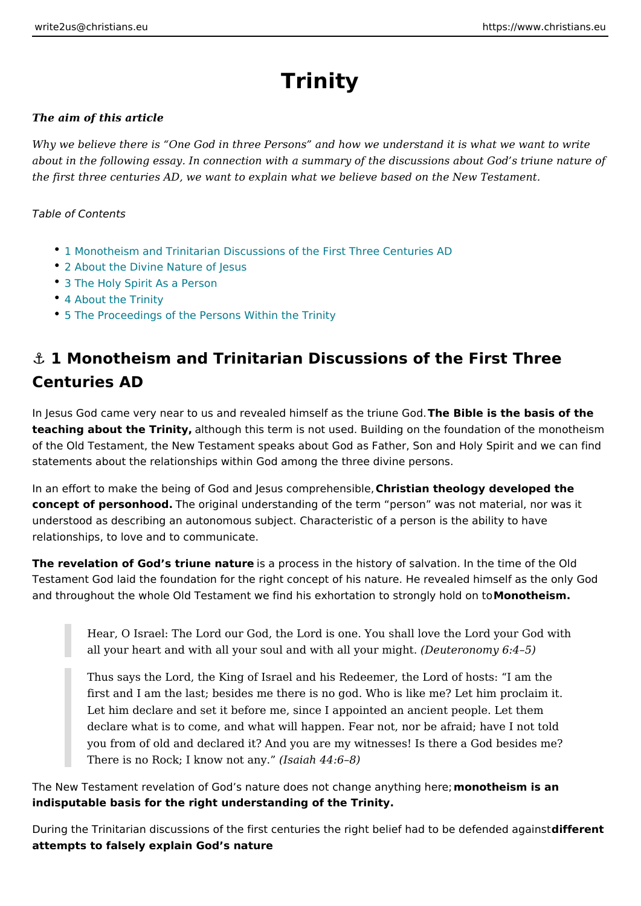# Trinity

The aim of this article

Why we believe there is One God in three Persons and how we understand it is about in the following essay. In connection with a summary of the discussions al the first three centuries AD, we want to explain what we believe based on the  $N_{\text{e}}$ 

Table of Contents

- 1 Monotheism and Trinitarian Discussions of the First Three Centuries AD
- [2 About the Divine Natu](#page-1-0)re of Jesus
- [3 The Holy Spirit As](#page-2-0) a Person
- [4 About the T](#page-2-0)rinity
- [5 The Proceedings of the Persons W](#page-3-0)ithin the Trinity

& 1 Monotheism and Trinitarian Discussions of the First Centuries AD

In Jesus God came very near to us and revealed himsTehle Bisbilbe eistribe eb & sois of the teaching about the Trimalithy ough this term is not used. Building on the foundation of the Old Testament, the New Testament speaks about God as Father, Son and I statements about the relationships within God among the three divine persons.

In an effort to make the being of God and Jes Cshrois thin ponetheen biology e, developed the concept of personholdhob. original understanding of the term person was not mate understood as describing an autonomous subject. Characteristic of a person is t relationships, to love and to communicate.

The revelation of God s triune mature cess in the history of salvation. In the time Testament God laid the foundation for the right concept of his nature. He reveal and throughout the whole Old Testament we find his exhortati**id onto theiom**gly hold

Hear, O Israel: The Lord our God, the Lord is one. You shall love the Lo all your heart and with all your soul and wit(hD eault eyronoming  $6t45$ )

Thus says the Lord, the King of Israel and his Redeemer, the Lord of ho first and I am the last; besides me there is no god. Who is like me? Let Let him declare and set it before me, since I appointed an ancient peop declare what is to come, and what will happen. Fear not, nor be afraid; you from of old and declared it? And you are my witnesses! Is there a G There is no Rock; I know  $(n\sinh y 44:68)$ 

The New Testament revelation of God s nature does not mhoannogheeismythis nanhere; indisputable basis for the right understanding of the Trinity.

During the Trinitarian discussions of the first centuries the right belide iff flead ntto b attempts to falsely explain God s nature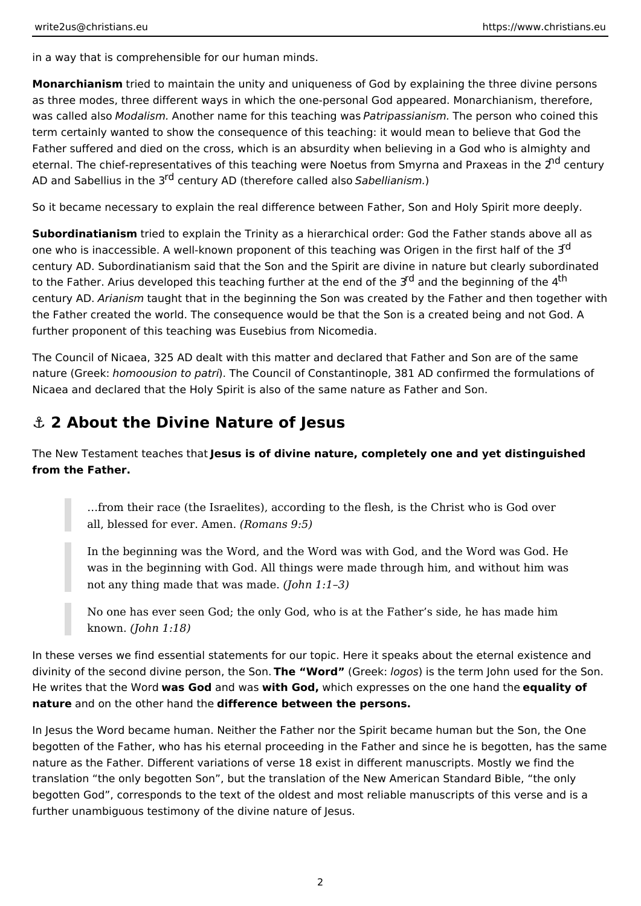<span id="page-1-0"></span>in a way that is comprehensible for our human minds.

**Monarchianism** tried to maintain the unity and uniqueness of God by explaining the three divine persons as three modes, three different ways in which the one-personal God appeared. Monarchianism, therefore, was called also *Modalism.* Another name for this teaching was *Patripassianism.* The person who coined this term certainly wanted to show the consequence of this teaching: it would mean to believe that God the Father suffered and died on the cross, which is an absurdity when believing in a God who is almighty and eternal. The chief-representatives of this teaching were Noetus from Smyrna and Praxeas in the 2<sup>nd</sup> century AD and Sabellius in the 3rd century AD (therefore called also *Sabellianism.*)

So it became necessary to explain the real difference between Father, Son and Holy Spirit more deeply.

**Subordinatianism** tried to explain the Trinity as a hierarchical order: God the Father stands above all as one who is inaccessible. A well-known proponent of this teaching was Origen in the first half of the  $3<sup>d</sup>$ century AD. Subordinatianism said that the Son and the Spirit are divine in nature but clearly subordinated to the Father. Arius developed this teaching further at the end of the 3<sup>rd</sup> and the beginning of the 4<sup>th</sup> century AD. *Arianism* taught that in the beginning the Son was created by the Father and then together with the Father created the world. The consequence would be that the Son is a created being and not God. A further proponent of this teaching was Eusebius from Nicomedia.

The Council of Nicaea, 325 AD dealt with this matter and declared that Father and Son are of the same nature (Greek: *homoousion to patri*). The Council of Constantinople, 381 AD confirmed the formulations of Nicaea and declared that the Holy Spirit is also of the same nature as Father and Son.

### **⚓ 2 About the Divine Nature of Jesus**

The New Testament teaches that **Jesus is of divine nature, completely one and yet distinguished from the Father.**

…from their race (the Israelites), according to the flesh, is the Christ who is God over all, blessed for ever. Amen. *(Romans 9:5)*

In the beginning was the Word, and the Word was with God, and the Word was God. He was in the beginning with God. All things were made through him, and without him was not any thing made that was made. *(John 1:1–3)*

No one has ever seen God; the only God, who is at the Father's side, he has made him known. *(John 1:18)*

In these verses we find essential statements for our topic. Here it speaks about the eternal existence and divinity of the second divine person, the Son. **The "Word"** (Greek: *logos*) is the term John used for the Son. He writes that the Word **was God** and was **with God,** which expresses on the one hand the **equality of nature** and on the other hand the **difference between the persons.**

In Jesus the Word became human. Neither the Father nor the Spirit became human but the Son, the One begotten of the Father, who has his eternal proceeding in the Father and since he is begotten, has the same nature as the Father. Different variations of verse 18 exist in different manuscripts. Mostly we find the translation "the only begotten Son", but the translation of the New American Standard Bible, "the only begotten God", corresponds to the text of the oldest and most reliable manuscripts of this verse and is a further unambiguous testimony of the divine nature of Jesus.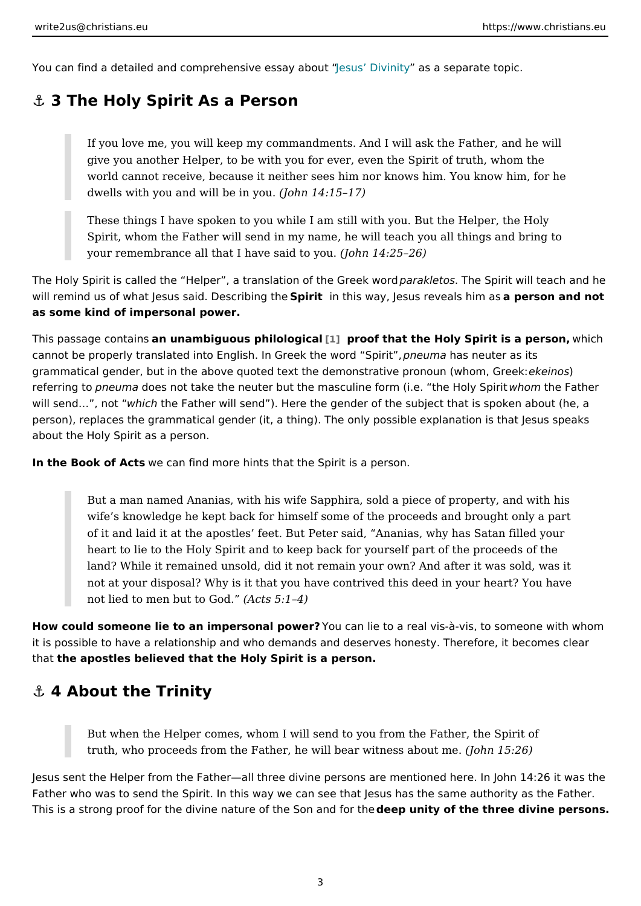<span id="page-2-0"></span>You can find a detailed and comprehensives essaDyivaiboaduy a separate topic.

### &" 3 The Holy Spirit As a Person

If you love me, you will keep my commandments. And I will ask the Fath give you another Helper, to be with you for ever, even the Spirit of trut world cannot receive, because it neither sees him nor knows him. You k dwells with you and will  $b$  doimny  $b4$ . 15 17)

These things I have spoken to you while I am still with you. But the Hel Spirit, whom the Father will send in my name, he will teach you all thin your remembrance all that I have  $\delta$  and to 4 $\gamma$ 25 .26)

The Holy Spirit is called the Helper, a translatipp araklehte TG ee & bain will teach and the SQ ee Spirit is called the Helper, a translatipparaklet will remind us of what Jesus said. SO peisictribit migist weay, Jesus reveaalpse mismonaand not as some kind of impersonal power.

This passage comma mentiquous philol[ogi](#page-4-0)catoof that the Holy Spirit is a wheirs hon, cannot be properly translated into English. In Grepenke tulmeda wonstrade uSt piriats, its grammatical gender, but in the above quoted text the demonstrative experimons oun (wh referring phoeum ado es not take the neuter but the masculine form whem the eF bold gr Sp will send &, which the Father will send ). Here the gender of the subject that is spoken about  $\theta$ person), replaces the grammatical gender (it, a thing). The only possible explan about the Holy Spirit as a person.

In the Book of Awcescan find more hints that the Spirit is a person.

But a man named Ananias, with his wife Sapphira, sold a piece of prope wife s knowledge he kept back for himself some of the proceeds and bro of it and laid it at the apostles feet. But Peter said, Ananias, why has heart to lie to the Holy Spirit and to keep back for yourself part of the land? While it remained unsold, did it not remain your own? And after it not at your disposal? Why is it that you have contrived this deed in you not lied to men but  $t(0A \times 5:14)$ 

How could someone lie to an impersona Yopuo ween? lie to a real vis-à-vis, to someon it is possible to have a relationship and who demands and deserves honesty. The thathe apostles believed that the Holy Spirit is a person.

#### &" 4 About the Trinity

But when the Helper comes, whom I will send to you from the Father, th truth, who proceeds from the Father, he will bear with the  $\leq 260$ 

Jesus sent the Helper from the Father all three divine persons are mentioned he Father who was to send the Spirit. In this way we can see that Jesus has the same This is a strong proof for the divine nature of dteheep Suomitagnoof ftohretheree divine pers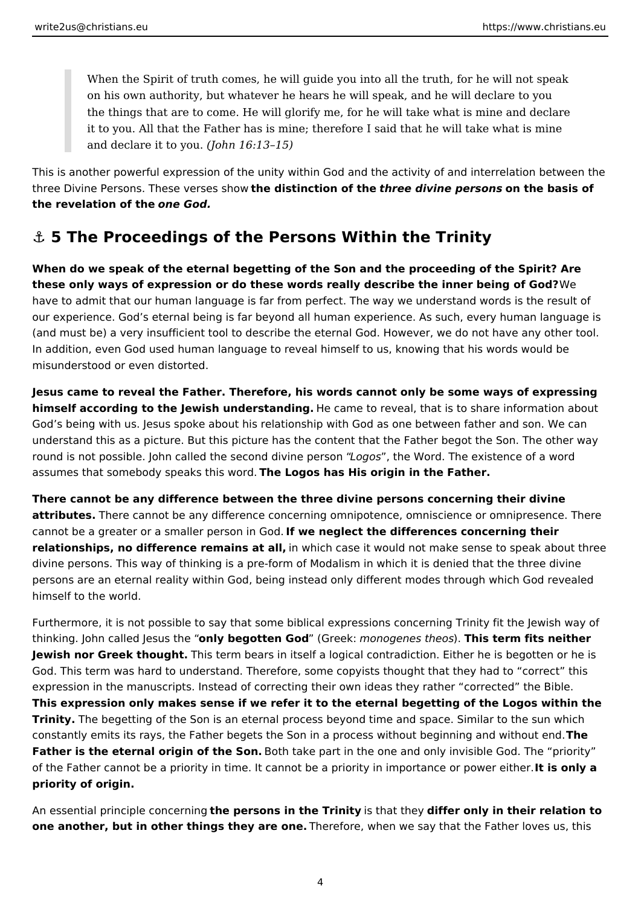<span id="page-3-0"></span>When the Spirit of truth comes, he will guide you into all the truth, for he will not speak on his own authority, but whatever he hears he will speak, and he will declare to you the things that are to come. He will glorify me, for he will take what is mine and declare it to you. All that the Father has is mine; therefore I said that he will take what is mine and declare it to you. *(John 16:13–15)*

This is another powerful expression of the unity within God and the activity of and interrelation between the three Divine Persons. These verses show **the distinction of the** *three divine persons* **on the basis of the revelation of the** *one God.*

## **⚓ 5 The Proceedings of the Persons Within the Trinity**

**When do we speak of the eternal begetting of the Son and the proceeding of the Spirit? Are these only ways of expression or do these words really describe the inner being of God?** We have to admit that our human language is far from perfect. The way we understand words is the result of our experience. God's eternal being is far beyond all human experience. As such, every human language is (and must be) a very insufficient tool to describe the eternal God. However, we do not have any other tool. In addition, even God used human language to reveal himself to us, knowing that his words would be misunderstood or even distorted.

**Jesus came to reveal the Father. Therefore, his words cannot only be some ways of expressing himself according to the Jewish understanding.** He came to reveal, that is to share information about God's being with us. Jesus spoke about his relationship with God as one between father and son. We can understand this as a picture. But this picture has the content that the Father begot the Son. The other way round is not possible. John called the second divine person "*Logos*", the Word. The existence of a word assumes that somebody speaks this word. **The Logos has His origin in the Father.**

**There cannot be any difference between the three divine persons concerning their divine attributes.** There cannot be any difference concerning omnipotence, omniscience or omnipresence. There cannot be a greater or a smaller person in God. **If we neglect the differences concerning their relationships, no difference remains at all,** in which case it would not make sense to speak about three divine persons. This way of thinking is a pre-form of Modalism in which it is denied that the three divine persons are an eternal reality within God, being instead only different modes through which God revealed himself to the world.

Furthermore, it is not possible to say that some biblical expressions concerning Trinity fit the Jewish way of thinking. John called Jesus the "**only begotten God**" (Greek: *monogenes theos*). **This term fits neither Jewish nor Greek thought.** This term bears in itself a logical contradiction. Either he is begotten or he is God. This term was hard to understand. Therefore, some copyists thought that they had to "correct" this expression in the manuscripts. Instead of correcting their own ideas they rather "corrected" the Bible. **This expression only makes sense if we refer it to the eternal begetting of the Logos within the Trinity.** The begetting of the Son is an eternal process beyond time and space. Similar to the sun which constantly emits its rays, the Father begets the Son in a process without beginning and without end. **The Father is the eternal origin of the Son.** Both take part in the one and only invisible God. The "priority" of the Father cannot be a priority in time. It cannot be a priority in importance or power either. **It is only a priority of origin.**

An essential principle concerning **the persons in the Trinity** is that they **differ only in their relation to one another, but in other things they are one.** Therefore, when we say that the Father loves us, this

4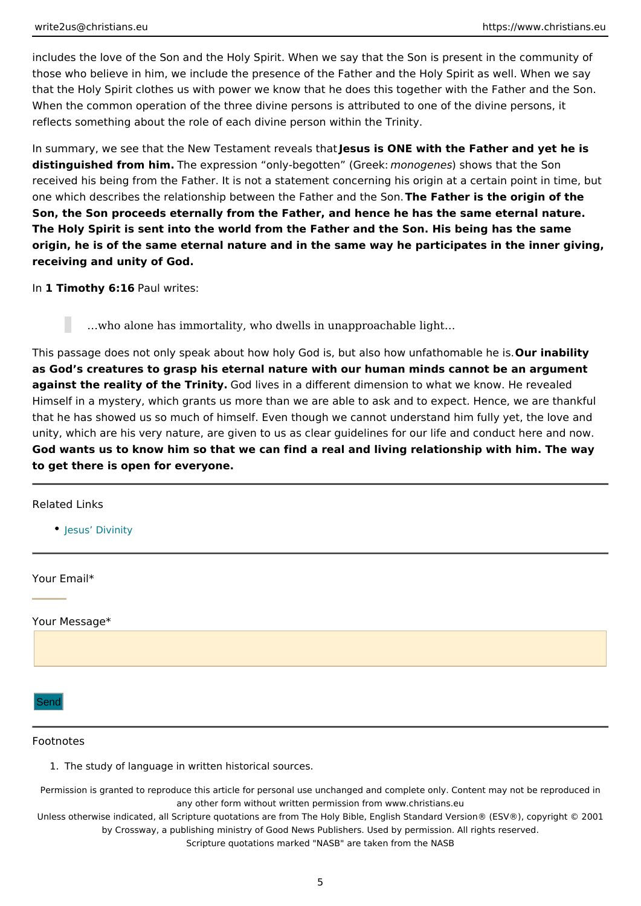<span id="page-4-0"></span>includes the love of the Son and the Holy Spirit. When we say that the Son is pr those who believe in him, we include the presence of the Father and the Holy Sp that the Holy Spirit clothes us with power we know that he does this together with When the common operation of the three divine persons is attributed to one of the reflects something about the role of each divine person within the Trinity.

In summary, we see that the New Testamd but and SNE havith the Father and yet he distinguished from hTimme expression only-begotten mon(Gqueen) eles hows that the Son received his being from the Father. It is not a statement concerning his origin at one which describes the relationship between the TF-raethFeart banend itshologon.igin of the Son, the Son proceeds eternally from the Father, and hence he has the same ete The Holy Spirit is sent into the world from the Father and the Son. His being has origin, he is of the same eternal nature and in the same way he participates in t receiving and unity of God.

In1 Timothy 6: Paul writes:

&who alone has immortality, who dwells in unapproachable light&

This passage does not only speak about how holy God is, but also uho wab nifiathom as God s creatures to grasp his eternal nature with our human minds cannot be a against the reality of the TG orditly ves in a different dimension to what we know. H Himself in a mystery, which grants us more than we are able to ask and to expect. that he has showed us so much of himself. Even though we cannot understand hi unity, which are his very nature, are given to us as clear guidelines for our life God wants us to know him so that we can find a real and living relationship with to get there is open for everyone.

Related Links

[Jesus Div](https://www.christians.eu/jesus-divinity/)inity

Your Email\*

Your Message\*

Send

#### Footnotes

1.The study of language in written historical sources.

Permission is granted to reproduce this article for personal use unchanged and complete only. Content may any other form without written permission from www.christians.eu Unless otherwise indicated, all Scripture quotations are from The Holy Bible, English Standard Ve by Crossway, a publishing ministry of Good News Publishers. Used by permission. All r Scripture quotations marked "NASB" are taken from the NASB